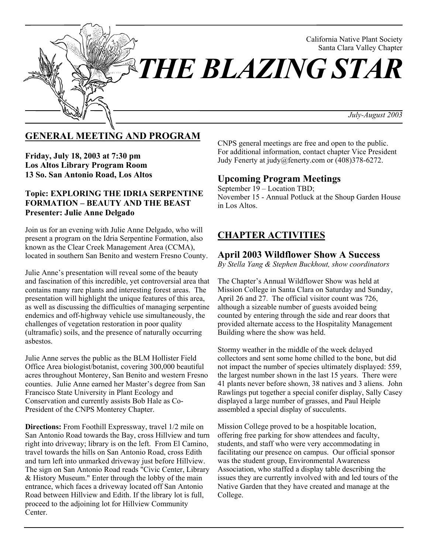

# **GENERAL MEETING AND PROGRAM**

**Friday, July 18, 2003 at 7:30 pm Los Altos Library Program Room 13 So. San Antonio Road, Los Altos**

### **Topic: EXPLORING THE IDRIA SERPENTINE FORMATION – BEAUTY AND THE BEAST Presenter: Julie Anne Delgado**

Join us for an evening with Julie Anne Delgado, who will present a program on the Idria Serpentine Formation, also known as the Clear Creek Management Area (CCMA), located in southern San Benito and western Fresno County.

Julie Anne's presentation will reveal some of the beauty and fascination of this incredible, yet controversial area that contains many rare plants and interesting forest areas. The presentation will highlight the unique features of this area, as well as discussing the difficulties of managing serpentine endemics and off-highway vehicle use simultaneously, the challenges of vegetation restoration in poor quality (ultramafic) soils, and the presence of naturally occurring asbestos.

Julie Anne serves the public as the BLM Hollister Field Office Area biologist/botanist, covering 300,000 beautiful acres throughout Monterey, San Benito and western Fresno counties. Julie Anne earned her Master's degree from San Francisco State University in Plant Ecology and Conservation and currently assists Bob Hale as Co-President of the CNPS Monterey Chapter.

**Directions:** From Foothill Expressway, travel 1/2 mile on San Antonio Road towards the Bay, cross Hillview and turn right into driveway; library is on the left. From El Camino, travel towards the hills on San Antonio Road, cross Edith and turn left into unmarked driveway just before Hillview. The sign on San Antonio Road reads "Civic Center, Library & History Museum." Enter through the lobby of the main entrance, which faces a driveway located off San Antonio Road between Hillview and Edith. If the library lot is full, proceed to the adjoining lot for Hillview Community Center.

CNPS general meetings are free and open to the public. For additional information, contact chapter Vice President Judy Fenerty at judy@fenerty.com or (408)378-6272.

# **Upcoming Program Meetings**

September 19 – Location TBD; November 15 - Annual Potluck at the Shoup Garden House in Los Altos.

# **CHAPTER ACTIVITIES**

### **April 2003 Wildflower Show A Success**

*By Stella Yang & Stephen Buckhout, show coordinators*

The Chapter's Annual Wildflower Show was held at Mission College in Santa Clara on Saturday and Sunday, April 26 and 27. The official visitor count was 726, although a sizeable number of guests avoided being counted by entering through the side and rear doors that provided alternate access to the Hospitality Management Building where the show was held.

Stormy weather in the middle of the week delayed collectors and sent some home chilled to the bone, but did not impact the number of species ultimately displayed: 559, the largest number shown in the last 15 years. There were 41 plants never before shown, 38 natives and 3 aliens. John Rawlings put together a special conifer display, Sally Casey displayed a large number of grasses, and Paul Heiple assembled a special display of succulents.

Mission College proved to be a hospitable location, offering free parking for show attendees and faculty, students, and staff who were very accommodating in facilitating our presence on campus. Our official sponsor was the student group, Environmental Awareness Association, who staffed a display table describing the issues they are currently involved with and led tours of the Native Garden that they have created and manage at the College.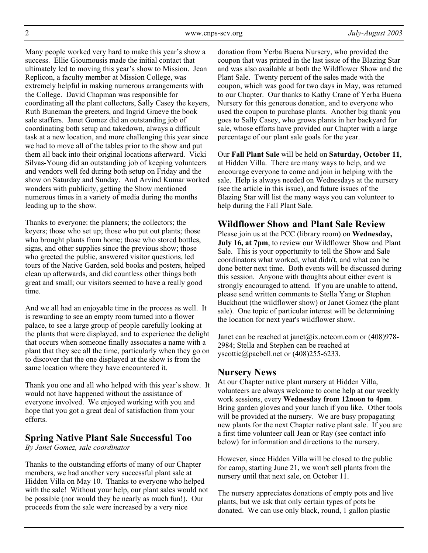Many people worked very hard to make this year's show a success. Ellie Gioumousis made the initial contact that ultimately led to moving this year's show to Mission. Jean Replicon, a faculty member at Mission College, was extremely helpful in making numerous arrangements with the College. David Chapman was responsible for coordinating all the plant collectors, Sally Casey the keyers, Ruth Buneman the greeters, and Ingrid Graeve the book sale staffers. Janet Gomez did an outstanding job of coordinating both setup and takedown, always a difficult task at a new location, and more challenging this year since we had to move all of the tables prior to the show and put them all back into their original locations afterward. Vicki Silvas-Young did an outstanding job of keeping volunteers and vendors well fed during both setup on Friday and the show on Saturday and Sunday. And Arvind Kumar worked wonders with publicity, getting the Show mentioned numerous times in a variety of media during the months leading up to the show.

Thanks to everyone: the planners; the collectors; the keyers; those who set up; those who put out plants; those who brought plants from home; those who stored bottles, signs, and other supplies since the previous show; those who greeted the public, answered visitor questions, led tours of the Native Garden, sold books and posters, helped clean up afterwards, and did countless other things both great and small; our visitors seemed to have a really good time.

And we all had an enjoyable time in the process as well. It is rewarding to see an empty room turned into a flower palace, to see a large group of people carefully looking at the plants that were displayed, and to experience the delight that occurs when someone finally associates a name with a plant that they see all the time, particularly when they go on to discover that the one displayed at the show is from the same location where they have encountered it.

Thank you one and all who helped with this year's show. It would not have happened without the assistance of everyone involved. We enjoyed working with you and hope that you got a great deal of satisfaction from your efforts.

# **Spring Native Plant Sale Successful Too**

*By Janet Gomez, sale coordinator*

Thanks to the outstanding efforts of many of our Chapter members, we had another very successful plant sale at Hidden Villa on May 10. Thanks to everyone who helped with the sale! Without your help, our plant sales would not be possible (nor would they be nearly as much fun!). Our proceeds from the sale were increased by a very nice

donation from Yerba Buena Nursery, who provided the coupon that was printed in the last issue of the Blazing Star and was also available at both the Wildflower Show and the Plant Sale. Twenty percent of the sales made with the coupon, which was good for two days in May, was returned to our Chapter. Our thanks to Kathy Crane of Yerba Buena Nursery for this generous donation, and to everyone who used the coupon to purchase plants. Another big thank you goes to Sally Casey, who grows plants in her backyard for sale, whose efforts have provided our Chapter with a large percentage of our plant sale goals for the year.

Our **Fall Plant Sale** will be held on **Saturday, October 11**, at Hidden Villa. There are many ways to help, and we encourage everyone to come and join in helping with the sale. Help is always needed on Wednesdays at the nursery (see the article in this issue), and future issues of the Blazing Star will list the many ways you can volunteer to help during the Fall Plant Sale.

# **Wildflower Show and Plant Sale Review**

Please join us at the PCC (library room) on **Wednesday, July 16, at 7pm**, to review our Wildflower Show and Plant Sale. This is your opportunity to tell the Show and Sale coordinators what worked, what didn't, and what can be done better next time. Both events will be discussed during this session. Anyone with thoughts about either event is strongly encouraged to attend. If you are unable to attend, please send written comments to Stella Yang or Stephen Buckhout (the wildflower show) or Janet Gomez (the plant sale). One topic of particular interest will be determining the location for next year's wildflower show.

Janet can be reached at janet@ix.netcom.com or (408)978-2984; Stella and Stephen can be reached at yscottie@pacbell.net or (408)255-6233.

# **Nursery News**

At our Chapter native plant nursery at Hidden Villa, volunteers are always welcome to come help at our weekly work sessions, every **Wednesday from 12noon to 4pm**. Bring garden gloves and your lunch if you like. Other tools will be provided at the nursery. We are busy propagating new plants for the next Chapter native plant sale. If you are a first time volunteer call Jean or Ray (see contact info below) for information and directions to the nursery.

However, since Hidden Villa will be closed to the public for camp, starting June 21, we won't sell plants from the nursery until that next sale, on October 11.

The nursery appreciates donations of empty pots and live plants, but we ask that only certain types of pots be donated. We can use only black, round, 1 gallon plastic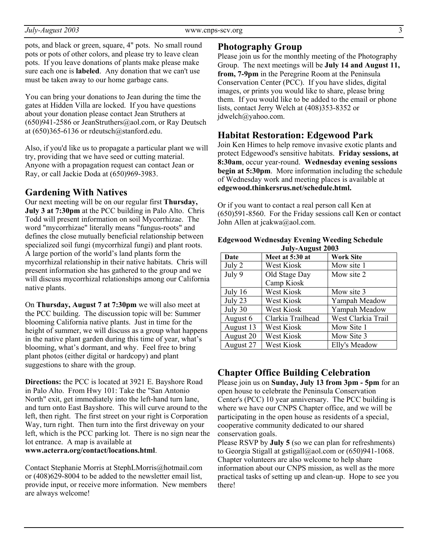pots, and black or green, square, 4" pots. No small round pots or pots of other colors, and please try to leave clean pots. If you leave donations of plants make please make sure each one is **labeled**. Any donation that we can't use must be taken away to our home garbage cans.

You can bring your donations to Jean during the time the gates at Hidden Villa are locked. If you have questions about your donation please contact Jean Struthers at  $(650)941-2586$  or JeanStruthers@aol.com, or Ray Deutsch at (650)365-6136 or rdeutsch@stanford.edu.

Also, if you'd like us to propagate a particular plant we will try, providing that we have seed or cutting material. Anyone with a propagation request can contact Jean or Ray, or call Jackie Doda at (650)969-3983.

### **Gardening With Natives**

Our next meeting will be on our regular first **Thursday, July 3 at 7:30pm** at the PCC building in Palo Alto. Chris Todd will present information on soil Mycorrhizae. The word "mycorrhizae" literally means "fungus-roots" and defines the close mutually beneficial relationship between specialized soil fungi (mycorrhizal fungi) and plant roots. A large portion of the world's land plants form the mycorrhizal relationship in their native habitats. Chris will present information she has gathered to the group and we will discuss mycorrhizal relationships among our California native plants.

On **Thursday, August 7 at 7:30pm** we will also meet at the PCC building. The discussion topic will be: Summer blooming California native plants. Just in time for the height of summer, we will discuss as a group what happens in the native plant garden during this time of year, what's blooming, what's dormant, and why. Feel free to bring plant photos (either digital or hardcopy) and plant suggestions to share with the group.

**Directions:** the PCC is located at 3921 E. Bayshore Road in Palo Alto. From Hwy 101: Take the "San Antonio North" exit, get immediately into the left-hand turn lane, and turn onto East Bayshore. This will curve around to the left, then right. The first street on your right is Corporation Way, turn right. Then turn into the first driveway on your left, which is the PCC parking lot. There is no sign near the lot entrance. A map is available at **www.acterra.org/contact/locations.html**.

Contact Stephanie Morris at StephLMorris@hotmail.com or (408)629-8004 to be added to the newsletter email list, provide input, or receive more information. New members are always welcome!

### **Photography Group**

Please join us for the monthly meeting of the Photography Group. The next meetings will be **July 14 and August 11, from, 7-9pm** in the Peregrine Room at the Peninsula Conservation Center (PCC). If you have slides, digital images, or prints you would like to share, please bring them. If you would like to be added to the email or phone lists, contact Jerry Welch at (408)353-8352 or jdwelch@yahoo.com.

### **Habitat Restoration: Edgewood Park**

Join Ken Himes to help remove invasive exotic plants and protect Edgewood's sensitive habitats. **Friday sessions, at 8:30am**, occur year-round. **Wednesday evening sessions begin at 5:30pm.** More information including the schedule of Wednesday work and meeting places is available at **edgewood.thinkersrus.net/schedule.html.**

Or if you want to contact a real person call Ken at (650)591-8560. For the Friday sessions call Ken or contact John Allen at jcakwa@aol.com.

| July-August 2003 |                   |                    |
|------------------|-------------------|--------------------|
| Date             | Meet at 5:30 at   | <b>Work Site</b>   |
| July 2           | West Kiosk        | Mow site 1         |
| July 9           | Old Stage Day     | Mow site 2         |
|                  | Camp Kiosk        |                    |
| July $16$        | West Kiosk        | Mow site 3         |
| July 23          | West Kiosk        | Yampah Meadow      |
| July 30          | West Kiosk        | Yampah Meadow      |
| August 6         | Clarkia Trailhead | West Clarkia Trail |
| August 13        | West Kiosk        | Mow Site 1         |
| August 20        | West Kiosk        | Mow Site 3         |
| August 27        | West Kiosk        | Elly's Meadow      |

#### **Edgewood Wednesday Evening Weeding Schedule July-August 2003**

# **Chapter Office Building Celebration**

Please join us on **Sunday, July 13 from 3pm - 5pm** for an open house to celebrate the Peninsula Conservation Center's (PCC) 10 year anniversary. The PCC building is where we have our CNPS Chapter office, and we will be participating in the open house as residents of a special, cooperative community dedicated to our shared conservation goals.

Please RSVP by **July 5** (so we can plan for refreshments) to Georgia Stigall at gstigall@aol.com or (650)941-1068. Chapter volunteers are also welcome to help share information about our CNPS mission, as well as the more practical tasks of setting up and clean-up. Hope to see you there!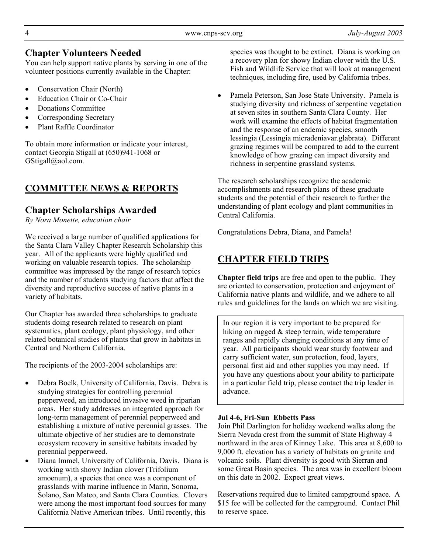# **Chapter Volunteers Needed**

You can help support native plants by serving in one of the volunteer positions currently available in the Chapter:

- Conservation Chair (North)
- Education Chair or Co-Chair
- Donations Committee
- Corresponding Secretary
- Plant Raffle Coordinator

To obtain more information or indicate your interest, contact Georgia Stigall at (650)941-1068 or GStigall@aol.com.

# **COMMITTEE NEWS & REPORTS**

# **Chapter Scholarships Awarded**

*By Nora Monette, education chair*

We received a large number of qualified applications for the Santa Clara Valley Chapter Research Scholarship this year. All of the applicants were highly qualified and working on valuable research topics. The scholarship committee was impressed by the range of research topics and the number of students studying factors that affect the diversity and reproductive success of native plants in a variety of habitats.

Our Chapter has awarded three scholarships to graduate students doing research related to research on plant systematics, plant ecology, plant physiology, and other related botanical studies of plants that grow in habitats in Central and Northern California.

The recipients of the 2003-2004 scholarships are:

- Debra Boelk, University of California, Davis. Debra is studying strategies for controlling perennial pepperweed, an introduced invasive weed in riparian areas. Her study addresses an integrated approach for long-term management of perennial pepperweed and establishing a mixture of native perennial grasses. The ultimate objective of her studies are to demonstrate ecosystem recovery in sensitive habitats invaded by perennial pepperweed.
- Diana Immel, University of California, Davis. Diana is working with showy Indian clover (Trifolium amoenum), a species that once was a component of grasslands with marine influence in Marin, Sonoma, Solano, San Mateo, and Santa Clara Counties. Clovers were among the most important food sources for many California Native American tribes. Until recently, this

species was thought to be extinct. Diana is working on a recovery plan for showy Indian clover with the U.S. Fish and Wildlife Service that will look at management techniques, including fire, used by California tribes.

• Pamela Peterson, San Jose State University. Pamela is studying diversity and richness of serpentine vegetation at seven sites in southern Santa Clara County. Her work will examine the effects of habitat fragmentation and the response of an endemic species, smooth lessingia (Lessingia micradeniavar.glabrata). Different grazing regimes will be compared to add to the current knowledge of how grazing can impact diversity and richness in serpentine grassland systems.

The research scholarships recognize the academic accomplishments and research plans of these graduate students and the potential of their research to further the understanding of plant ecology and plant communities in Central California.

Congratulations Debra, Diana, and Pamela!

# **CHAPTER FIELD TRIPS**

**Chapter field trips** are free and open to the public. They are oriented to conservation, protection and enjoyment of California native plants and wildlife, and we adhere to all rules and guidelines for the lands on which we are visiting.

In our region it is very important to be prepared for hiking on rugged & steep terrain, wide temperature ranges and rapidly changing conditions at any time of year. All participants should wear sturdy footwear and carry sufficient water, sun protection, food, layers, personal first aid and other supplies you may need. If you have any questions about your ability to participate in a particular field trip, please contact the trip leader in advance.

### **Jul 4-6, Fri-Sun Ebbetts Pass**

Join Phil Darlington for holiday weekend walks along the Sierra Nevada crest from the summit of State Highway 4 northward in the area of Kinney Lake. This area at 8,600 to 9,000 ft. elevation has a variety of habitats on granite and volcanic soils. Plant diversity is good with Sierran and some Great Basin species. The area was in excellent bloom on this date in 2002. Expect great views.

Reservations required due to limited campground space. A \$15 fee will be collected for the campground. Contact Phil to reserve space.